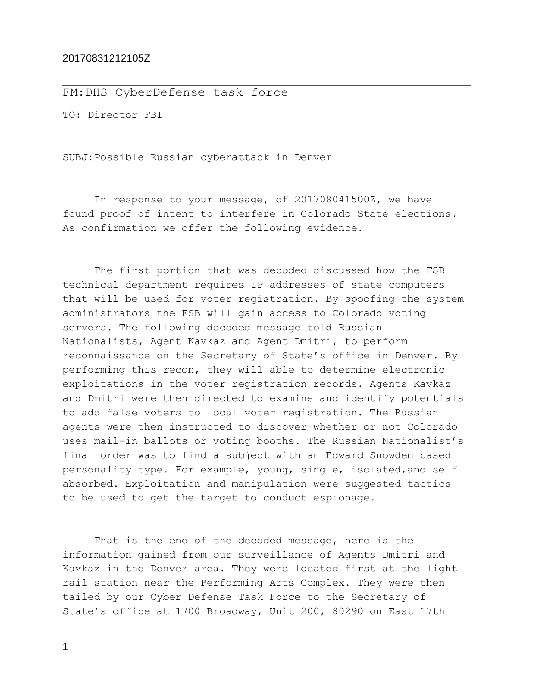## 20170831212105Z

FM:DHS CyberDefense task force

TO: Director FBI

SUBJ:Possible Russian cyberattack in Denver

In response to your message, of 201708041500Z, we have found proof of intent to interfere in Colorado State elections. As confirmation we offer the following evidence.

The first portion that was decoded discussed how the FSB technical department requires IP addresses of state computers that will be used for voter registration. By spoofing the system administrators the FSB will gain access to Colorado voting servers. The following decoded message told Russian Nationalists, Agent Kavkaz and Agent Dmitri, to perform reconnaissance on the Secretary of State's office in Denver. By performing this recon, they will able to determine electronic exploitations in the voter registration records. Agents Kavkaz and Dmitri were then directed to examine and identify potentials to add false voters to local voter registration. The Russian agents were then instructed to discover whether or not Colorado uses mail-in ballots or voting booths. The Russian Nationalist's final order was to find a subject with an Edward Snowden based personality type. For example, young, single, isolated,and self absorbed. Exploitation and manipulation were suggested tactics to be used to get the target to conduct espionage.

That is the end of the decoded message, here is the information gained from our surveillance of Agents Dmitri and Kavkaz in the Denver area. They were located first at the light rail station near the Performing Arts Complex. They were then tailed by our Cyber Defense Task Force to the Secretary of State's office at 1700 Broadway, Unit 200, 80290 on East 17th